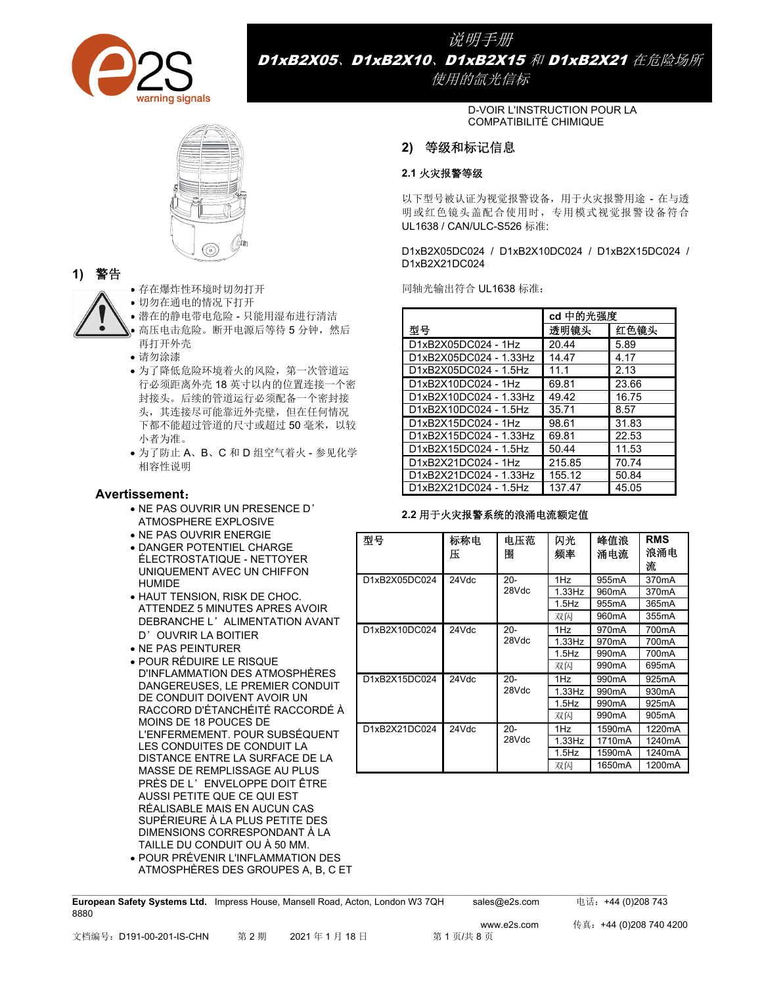

说明手册 D1xB2X05、D1xB2X10、D1xB2X15 和 D1xB2X21 在危险场所

使用的氙光信标

D-VOIR L'INSTRUCTION POUR LA COMPATIBILITÉ CHIMIQUE

# **2)** 等级和标记信息

## **2.1** 火灾报警等级

以下型号被认证为视觉报警设备,用于火灾报警用途 - 在与透 明或红色镜头盖配合使用时,专用模式视觉报警设备符合 UL1638 / CAN/ULC-S526 标准:

D1xB2X05DC024 / D1xB2X10DC024 / D1xB2X15DC024 / D1xB2X21DC024

同轴光输出符合 UL1638 标准:

|                        | cd 中的光强度 |       |
|------------------------|----------|-------|
| 型号                     | 透明镜头     | 红色镜头  |
| D1xB2X05DC024 - 1Hz    | 20.44    | 5.89  |
| D1xB2X05DC024 - 1.33Hz | 14.47    | 4.17  |
| D1xB2X05DC024 - 1.5Hz  | 11.1     | 2.13  |
| D1xB2X10DC024 - 1Hz    | 69.81    | 23.66 |
| D1xB2X10DC024 - 1.33Hz | 49.42    | 16.75 |
| D1xB2X10DC024 - 1.5Hz  | 35.71    | 8.57  |
| D1xB2X15DC024 - 1Hz    | 98.61    | 31.83 |
| D1xB2X15DC024 - 1.33Hz | 69.81    | 22.53 |
| D1xB2X15DC024 - 1.5Hz  | 50.44    | 11.53 |
| D1xB2X21DC024 - 1Hz    | 215.85   | 70.74 |
| D1xB2X21DC024 - 1.33Hz | 155.12   | 50.84 |
| D1xB2X21DC024 - 1.5Hz  | 137.47   | 45.05 |

#### **2.2** 用于火灾报警系统的浪涌电流额定值

| 型号            | 标称电<br>Æ | 电压范<br>圕          | 闪光<br>频率  | 峰值浪<br>涌申流          | <b>RMS</b><br>浪涌电<br>流 |
|---------------|----------|-------------------|-----------|---------------------|------------------------|
| D1xB2X05DC024 | 24Vdc    | $20 -$            | 1Hz       | 955mA               | 370 <sub>m</sub> A     |
|               |          | 28Vdc             | $1.33$ Hz | 960 <sub>m</sub> A  | 370 <sub>m</sub> A     |
|               |          |                   | $1.5$ Hz  | 955 <sub>m</sub> A  | 365mA                  |
|               |          |                   | 双闪        | 960 <sub>m</sub> A  | 355mA                  |
| D1xB2X10DC024 | 24Vdc    | $20 -$            | 1Hz       | 970 <sub>m</sub> A  | 700 <sub>m</sub> A     |
|               |          | 28Vdc<br>$1.5$ Hz | $1.33$ Hz | 970 <sub>m</sub> A  | 700mA                  |
|               |          |                   |           | 990 <sub>m</sub> A  | 700 <sub>m</sub> A     |
|               |          |                   | 双闪        | 990 <sub>m</sub> A  | 695mA                  |
| D1xB2X15DC024 | 24Vdc    | $20 -$            | 1Hz       | 990 <sub>m</sub> A  | 925mA                  |
|               |          | 28Vdc             | $1.33$ Hz | 990 <sub>m</sub> A  | 930 <sub>m</sub> A     |
|               |          |                   | $1.5$ Hz  | 990 <sub>m</sub> A  | 925mA                  |
|               |          |                   | 双闪        | 990 <sub>m</sub> A  | 905 <sub>m</sub> A     |
| D1xB2X21DC024 | 24Vdc    | $20 -$            | 1Hz       | 1590 <sub>m</sub> A | 1220mA                 |
|               |          | 28Vdc             | $1.33$ Hz | 1710 <sub>m</sub> A | 1240mA                 |
|               |          |                   | $1.5$ Hz  | 1590mA              | 1240mA                 |
|               |          |                   | 双闪        | 1650mA              | 1200mA                 |



8880

- 存在爆炸性环境时切勿打开
- 切勿在通电的情况下打开
- 潜在的静电带电危险 只能用湿布进行清洁
- 高压电击危险。断开电源后等待 5 分钟,然后 再打开外壳
- 请勿涂漆
- 为了降低危险环境着火的风险,第一次管道运 行必须距离外壳 18 英寸以内的位置连接一个密 封接头。后续的管道运行必须配备一个密封接 头,其连接尽可能靠近外壳壁,但在任何情况 下都不能超过管道的尺寸或超过50毫米,以较 小者为准。
- 为了防止 A、B、C 和 D 组空气着火 参见化学 相容性说明

## **Avertissement**:

- NE PAS OUVRIR UN PRESENCE D' ATMOSPHERE EXPLOSIVE
- NE PAS OUVRIR ENERGIE
- DANGER POTENTIEL CHARGE ÉLECTROSTATIQUE - NETTOYER UNIQUEMENT AVEC UN CHIFFON HUMIDE
- HAUT TENSION, RISK DE CHOC. ATTENDEZ 5 MINUTES APRES AVOIR DEBRANCHE L'ALIMENTATION AVANT D'OUVRIR LA BOITIER
- NE PAS PEINTURER
- POUR RÉDUIRE LE RISQUE D'INFLAMMATION DES ATMOSPHÈRES DANGEREUSES, LE PREMIER CONDUIT DE CONDUIT DOIVENT AVOIR UN RACCORD D'ÉTANCHÉITÉ RACCORDÉ À MOINS DE 18 POUCES DE L'ENFERMEMENT. POUR SUBSÉQUENT LES CONDUITES DE CONDUIT LA DISTANCE ENTRE LA SURFACE DE LA MASSE DE REMPLISSAGE AU PLUS PRÈS DE L'ENVELOPPE DOIT ÊTRE AUSSI PETITE QUE CE QUI EST RÉALISABLE MAIS EN AUCUN CAS SUPÉRIEURE À LA PLUS PETITE DES DIMENSIONS CORRESPONDANT À LA TAILLE DU CONDUIT OU À 50 MM.
- POUR PRÉVENIR L'INFLAMMATION DES ATMOSPHÈRES DES GROUPES A, B, C ET

**European Safety Systems Ltd.** Impress House, Mansell Road, Acton, London W3 7QH sales@e2s.com 电话:+44 (0)208 743

 $\_$  , and the state of the state of the state of the state of the state of the state of the state of the state of the state of the state of the state of the state of the state of the state of the state of the state of the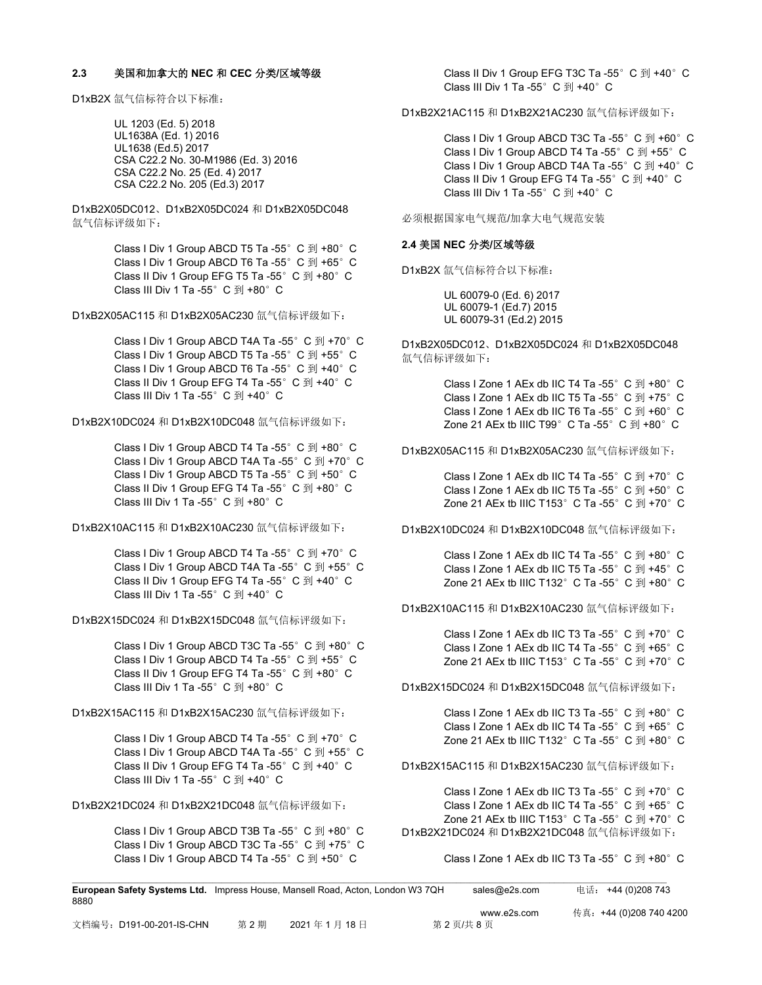#### **2.3** 美国和加拿大的 **NEC** 和 **CEC** 分类**/**区域等级

D1xB2X 氙气信标符合以下标准:

UL 1203 (Ed. 5) 2018 UL1638A (Ed. 1) 2016 UL1638 (Ed.5) 2017 CSA C22.2 No. 30-M1986 (Ed. 3) 2016 CSA C22.2 No. 25 (Ed. 4) 2017 CSA C22.2 No. 205 (Ed.3) 2017

D1xB2X05DC012、D1xB2X05DC024 和 D1xB2X05DC048 氙气信标评级如下:

> Class I Div 1 Group ABCD T5 Ta -55°C 到 +80°C Class I Div 1 Group ABCD T6 Ta -55°C 到 +65°C Class II Div 1 Group EFG T5 Ta -55° C 到 +80° C Class III Div 1 Ta -55°C 到 +80°C

D1xB2X05AC115 和 D1xB2X05AC230 氙气信标评级如下:

Class I Div 1 Group ABCD T4A Ta -55°C 到 +70°C Class I Div 1 Group ABCD T5 Ta -55°C 到 +55°C Class I Div 1 Group ABCD T6 Ta -55° C 到 +40° C Class II Div 1 Group EFG T4 Ta -55° C 到 +40° C Class III Div 1 Ta -55°C 到 +40°C

D1xB2X10DC024 和 D1xB2X10DC048 氙气信标评级如下:

Class I Div 1 Group ABCD T4 Ta -55°C 到 +80°C Class I Div 1 Group ABCD T4A Ta -55°C 到 +70°C Class I Div 1 Group ABCD T5 Ta -55°C 到 +50°C Class II Div 1 Group EFG T4 Ta -55°C 到 +80°C Class III Div 1 Ta -55 $^{\circ}$  C  $\overline{4}$  +80 $^{\circ}$  C

D1xB2X10AC115 和 D1xB2X10AC230 氙气信标评级如下:

Class I Div 1 Group ABCD T4 Ta -55°C 到 +70°C Class I Div 1 Group ABCD T4A Ta -55°C 到 +55°C Class II Div 1 Group EFG T4 Ta -55° C 到 +40° C Class III Div 1 Ta -55°C 到 +40°C

D1xB2X15DC024 和 D1xB2X15DC048 氙气信标评级如下:

Class I Div 1 Group ABCD T3C Ta -55°C 到 +80°C Class I Div 1 Group ABCD T4 Ta -55°C 到 +55°C Class II Div 1 Group EFG T4 Ta -55°C 到 +80°C Class III Div 1 Ta -55 $^{\circ}$  C  $\overline{2}$ I +80 $^{\circ}$  C

#### D1xB2X15AC115 和 D1xB2X15AC230 氙气信标评级如下:

Class I Div 1 Group ABCD T4 Ta -55°C 到 +70°C Class I Div 1 Group ABCD T4A Ta -55°C 到 +55°C Class II Div 1 Group EFG T4 Ta -55° C 到 +40° C Class III Div 1 Ta -55°C 到 +40°C

D1xB2X21DC024 和 D1xB2X21DC048 氙气信标评级如下:

Class I Div 1 Group ABCD T3B Ta -55°C 到 +80°C Class I Div 1 Group ABCD T3C Ta -55°C 到 +75°C Class I Div 1 Group ABCD T4 Ta -55°C 到 +50°C

Class II Div 1 Group EFG T3C Ta -55°C 到 +40°C Class III Div 1 Ta -55 $^{\circ}$  C  $\overline{2}$ I +40 $^{\circ}$  C

D1xB2X21AC115 和 D1xB2X21AC230 氙气信标评级如下:

Class I Div 1 Group ABCD T3C Ta -55°C 到 +60°C Class I Div 1 Group ABCD T4 Ta -55°C 到 +55°C Class I Div 1 Group ABCD T4A Ta -55°C 到 +40°C Class II Div 1 Group EFG T4 Ta -55° C 到 +40° C Class III Div 1 Ta -55°C 到 +40°C

必须根据国家电气规范/加拿大电气规范安装

### **2.4** 美国 **NEC** 分类**/**区域等级

D1xB2X 氙气信标符合以下标准:

UL 60079-0 (Ed. 6) 2017 UL 60079-1 (Ed.7) 2015 UL 60079-31 (Ed.2) 2015

D1xB2X05DC012、D1xB2X05DC024 和 D1xB2X05DC048 氙气信标评级如下:

> Class I Zone 1 AEx db IIC T4 Ta -55°C 到 +80°C Class I Zone 1 AEx db IIC T5 Ta -55°C 到 +75°C Class I Zone 1 AEx db IIC T6 Ta -55°C 到 +60°C Zone 21 AEx tb IIIC T99 $^{\circ}$  C Ta -55 $^{\circ}$  C  $\overline{2}$ I +80 $^{\circ}$  C

D1xB2X05AC115 和 D1xB2X05AC230 氙气信标评级如下:

Class I Zone 1 AEx db IIC T4 Ta -55°C 到 +70°C Class I Zone 1 AEx db IIC T5 Ta -55°C 到 +50°C Zone 21 AEx tb IIIC T153°C Ta -55°C  $\overline{2}$  +70°C

D1xB2X10DC024 和 D1xB2X10DC048 氙气信标评级如下:

Class I Zone 1 AEx db IIC T4 Ta -55 $^{\circ}$  C  $\overline{2}$ J +80 $^{\circ}$  C Class I Zone 1 AEx db IIC T5 Ta -55°C 到 +45°C Zone 21 AEx tb IIIC T132 $^{\circ}$  C Ta -55 $^{\circ}$  C  $\overline{2}$ I +80 $^{\circ}$  C

D1xB2X10AC115 和 D1xB2X10AC230 氙气信标评级如下:

Class I Zone 1 AEx db IIC T3 Ta -55 $^{\circ}$  C  $\overline{2}$ I +70 $^{\circ}$  C Class I Zone 1 AEx db IIC T4 Ta -55°C 到 +65°C Zone 21 AEx tb IIIC T153°C Ta -55°C  $\overline{2}$  +70°C

D1xB2X15DC024 和 D1xB2X15DC048 氙气信标评级如下:

Class I Zone 1 AEx db IIC T3 Ta -55 $^{\circ}$  C  $\overline{2}$ J +80 $^{\circ}$  C Class I Zone 1 AEx db IIC T4 Ta -55°C 到 +65°C Zone 21 AEx tb IIIC T132 $^{\circ}$  C Ta -55 $^{\circ}$  C  $\overline{2}$ I +80 $^{\circ}$  C

D1xB2X15AC115 和 D1xB2X15AC230 氙气信标评级如下:

Class I Zone 1 AEx db IIC T3 Ta -55 $^{\circ}$  C  $\overline{2}$ I +70 $^{\circ}$  C Class I Zone 1 AEx db IIC T4 Ta -55°C 到 +65°C Zone 21 AEx tb IIIC T153 $^{\circ}$  C Ta -55 $^{\circ}$  C  $\overline{\mathfrak{B}}$  +70 $^{\circ}$  C D1xB2X21DC024 和 D1xB2X21DC048 氙气信标评级如下:

#### Class I Zone 1 AEx db IIC T3 Ta -55 $^{\circ}$  C  $\overline{4}$ I +80 $^{\circ}$  C

| <b>European Safety Systems Ltd.</b> Impress House, Mansell Road, Acton, London W3 7QH<br>8880 |     |            |         | sales@e2s.com | 电话: +44 (0)208 743      |
|-----------------------------------------------------------------------------------------------|-----|------------|---------|---------------|-------------------------|
|                                                                                               |     |            |         | www.e2s.com   | 传真: +44 (0)208 740 4200 |
| 文档编号:D191-00-201-IS-CHN                                                                       | 第2期 | 2021年1月18日 | 第2页/共8页 |               |                         |

 $\mathcal{L} = \{ \mathcal{L} = \{ \mathcal{L} = \{ \mathcal{L} = \{ \mathcal{L} = \{ \mathcal{L} = \{ \mathcal{L} = \{ \mathcal{L} = \{ \mathcal{L} = \{ \mathcal{L} = \{ \mathcal{L} = \{ \mathcal{L} = \{ \mathcal{L} = \{ \mathcal{L} = \{ \mathcal{L} = \{ \mathcal{L} = \{ \mathcal{L} = \{ \mathcal{L} = \{ \mathcal{L} = \{ \mathcal{L} = \{ \mathcal{L} = \{ \mathcal{L} = \{ \mathcal{L} = \{ \mathcal{L} = \{ \mathcal{$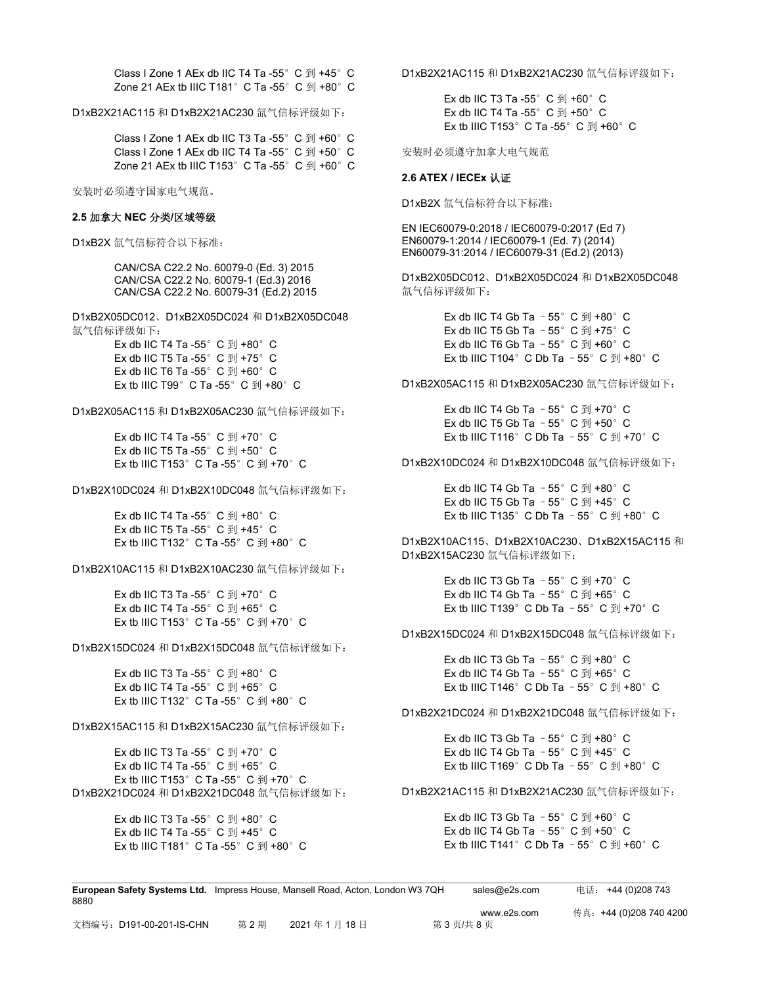Class I Zone 1 AEx db IIC T4 Ta -55°C 到 +45°C Zone 21 AEx tb IIIC T181 $^{\circ}$  C Ta -55 $^{\circ}$  C  $\overline{2}$ J +80 $^{\circ}$  C

D1xB2X21AC115 和 D1xB2X21AC230 氙气信标评级如下:

Class I Zone 1 AEx db IIC T3 Ta -55°C 到 +60°C Class I Zone 1 AEx db IIC T4 Ta -55°C 到 +50°C Zone 21 AEx tb IIIC T153 $^{\circ}$  C Ta -55 $^{\circ}$  C  $\overline{2}$  +60 $^{\circ}$  C

安装时必须遵守国家电气规范。

#### **2.5** 加拿大 **NEC** 分类**/**区域等级

D1xB2X 氙气信标符合以下标准:

CAN/CSA C22.2 No. 60079-0 (Ed. 3) 2015 CAN/CSA C22.2 No. 60079-1 (Ed.3) 2016 CAN/CSA C22.2 No. 60079-31 (Ed.2) 2015

D1xB2X05DC012、D1xB2X05DC024 和 D1xB2X05DC048 氙气信标评级如下:

> Ex db IIC T4 Ta -55 $^{\circ}$  C  $\overline{2}$ J +80 $^{\circ}$  C Ex db IIC T5 Ta -55 $^{\circ}$  C  $\overline{2}$ I +75 $^{\circ}$  C Ex db IIC T6 Ta -55 $^{\circ}$  C  $\overline{2}$ I +60 $^{\circ}$  C Ex tb IIIC T99 $^{\circ}$  C Ta -55 $^{\circ}$  C  $\overline{2}$ I +80 $^{\circ}$  C

D1xB2X05AC115 和 D1xB2X05AC230 氙气信标评级如下:

Ex db IIC T4 Ta -55 $^{\circ}$  C  $\overline{2}$ J +70 $^{\circ}$  C Ex db IIC T5 Ta -55 $^{\circ}$  C  $\overline{2}$ I +50 $^{\circ}$  C Ex tb IIIC T153 $^{\circ}$  C Ta -55 $^{\circ}$  C  $\overline{2}$ I +70 $^{\circ}$  C

D1xB2X10DC024 和 D1xB2X10DC048 氙气信标评级如下:

Ex db IIC T4 Ta -55 $^{\circ}$  C  $\overline{2}$ I +80 $^{\circ}$  C Ex db IIC T5 Ta -55 $^{\circ}$  C  $\overline{2}$ I +45 $^{\circ}$  C Ex tb IIIC T132°C Ta -55°C 到 +80°C

D1xB2X10AC115 和 D1xB2X10AC230 氙气信标评级如下:

Ex db IIC T3 Ta -55 $^{\circ}$  C  $\overline{2}$ I +70 $^{\circ}$  C Ex db IIC T4 Ta -55 $^{\circ}$  C  $\overline{4}$ I +65 $^{\circ}$  C Ex tb IIIC T153 $^{\circ}$  C Ta -55 $^{\circ}$  C  $\overline{2}$ J +70 $^{\circ}$  C

D1xB2X15DC024 和 D1xB2X15DC048 氙气信标评级如下:

Ex db IIC T3 Ta -55 $^{\circ}$  C  $\overline{2}$ I +80 $^{\circ}$  C Ex db IIC T4 Ta -55 $^{\circ}$  C  $\overline{2}$ I +65 $^{\circ}$  C Ex tb IIIC T132°C Ta -55°C 到 +80°C

D1xB2X15AC115 和 D1xB2X15AC230 氙气信标评级如下:

Ex db IIC T3 Ta -55 $^{\circ}$  C  $\overline{2}$ I +70 $^{\circ}$  C Ex db IIC T4 Ta -55 $^{\circ}$  C  $\overline{4}$ I +65 $^{\circ}$  C Ex tb IIIC T153 $^{\circ}$  C Ta -55 $^{\circ}$  C  $\overline{2}$ I +70 $^{\circ}$  C D1xB2X21DC024 和 D1xB2X21DC048 氙气信标评级如下:

> Ex db IIC T3 Ta -55 $^{\circ}$  C  $\overline{2}$ I +80 $^{\circ}$  C Ex db IIC T4 Ta -55 $^{\circ}$  C  $\overline{2}$ J +45 $^{\circ}$  C Ex tb IIIC T181 $^{\circ}$  C Ta -55 $^{\circ}$  C  $\overline{2}$ I +80 $^{\circ}$  C

D1xB2X21AC115 和 D1xB2X21AC230 氙气信标评级如下:

Ex db IIC T3 Ta -55 $^{\circ}$  C  $\overline{2}$ I +60 $^{\circ}$  C Ex db IIC T4 Ta -55 $^{\circ}$  C  $\overline{2}$ I +50 $^{\circ}$  C Ex tb IIIC T153 $^{\circ}$  C Ta -55 $^{\circ}$  C  $\overline{4}$  +60 $^{\circ}$  C

安装时必须遵守加拿大电气规范

#### **2.6 ATEX / IECEx** 认证

D1xB2X 氙气信标符合以下标准:

EN IEC60079-0:2018 / IEC60079-0:2017 (Ed 7) EN60079-1:2014 / IEC60079-1 (Ed. 7) (2014) EN60079-31:2014 / IEC60079-31 (Ed.2) (2013)

D1xB2X05DC012、D1xB2X05DC024 和 D1xB2X05DC048 氙气信标评级如下:

> Ex db IIC T4 Gb Ta  $-55^{\circ}$  C  $\overline{2}$ J +80 $^{\circ}$  C Ex db IIC T5 Gb Ta  $-55^\circ$  C  $\overline{2}$ l +75°C Ex db IIC T6 Gb Ta  $-55^\circ$  C  $\overline{2}$ J +60°C Ex tb IIIC T104 $^{\circ}$  C Db Ta - 55 $^{\circ}$  C  $\overline{2}$ I +80 $^{\circ}$  C

D1xB2X05AC115 和 D1xB2X05AC230 氙气信标评级如下:

Ex db IIC T4 Gb Ta  $-55^{\circ}$  C  $\overline{2}$ J +70 $^{\circ}$  C Ex db IIC T5 Gb Ta  $-55^{\circ}$  C  $\overline{2}$ J +50 $^{\circ}$  C Ex tb IIIC T116°C Db Ta - 55°C  $\overline{2}$  +70°C

D1xB2X10DC024 和 D1xB2X10DC048 氙气信标评级如下:

Ex db IIC T4 Gb Ta  $-55^{\circ}$  C  $\overline{2}$ l +80 $^{\circ}$  C Ex db IIC T5 Gb Ta  $-55^{\circ}$  C  $\overline{4}$  +45° C Ex tb IIIC T135°C Db Ta - 55°C  $\overline{2}$  +80°C

D1xB2X10AC115、D1xB2X10AC230、D1xB2X15AC115 和 D1xB2X15AC230 氙气信标评级如下:

> Ex db IIC T3 Gb Ta  $-55^{\circ}$  C  $\overline{2}$ I +70 $^{\circ}$  C Ex db IIC T4 Gb Ta  $-55^{\circ}$  C  $\overline{2}$ J +65 $^{\circ}$  C Ex tb IIIC T139°C Db Ta -  $55^{\circ}$  C  $\overline{2}$ II +70°C

D1xB2X15DC024 和 D1xB2X15DC048 氙气信标评级如下:

Ex db IIC T3 Gb Ta  $-55^\circ$  C  $\overline{2}$ J +80 $^\circ$  C Ex db IIC T4 Gb Ta  $-55^\circ$  C  $\overline{2}$ l +65°C Ex tb IIIC T146°C Db Ta - 55°C  $\overline{2}$  +80°C

D1xB2X21DC024 和 D1xB2X21DC048 氙气信标评级如下:

Ex db IIC T3 Gb Ta  $-55^\circ$  C  $\overline{2}$ J +80°C Ex db IIC T4 Gb Ta  $-55^{\circ}$  C  $\overline{2}$ J +45°C Ex tb IIIC T169°C Db Ta - 55°C  $\overline{4}$ I +80°C

D1xB2X21AC115 和 D1xB2X21AC230 氙气信标评级如下:

Ex db IIC T3 Gb Ta  $-55^{\circ}$  C  $\overline{2}$ J +60 $^{\circ}$  C Ex db IIC T4 Gb Ta  $-55^{\circ}$  C  $\overline{2}$ l +50 $^{\circ}$  C Ex tb IIIC T141°C Db Ta - 55°C  $\overline{2}$ I +60°C

| <b>European Safety Systems Ltd.</b> Impress House, Mansell Road, Acton, London W3 7QH |     |            | sales@e2s.com | 电话: +44 (0)208 743      |
|---------------------------------------------------------------------------------------|-----|------------|---------------|-------------------------|
| 8880                                                                                  |     |            |               |                         |
|                                                                                       |     |            | www.e2s.com   | 传真: +44 (0)208 740 4200 |
| 文档编号: D191-00-201-IS-CHN                                                              | 第2期 | 2021年1月18日 | 第3页/共8页       |                         |

 $\mathcal{L} = \{ \mathcal{L} = \{ \mathcal{L} = \{ \mathcal{L} = \{ \mathcal{L} = \{ \mathcal{L} = \{ \mathcal{L} = \{ \mathcal{L} = \{ \mathcal{L} = \{ \mathcal{L} = \{ \mathcal{L} = \{ \mathcal{L} = \{ \mathcal{L} = \{ \mathcal{L} = \{ \mathcal{L} = \{ \mathcal{L} = \{ \mathcal{L} = \{ \mathcal{L} = \{ \mathcal{L} = \{ \mathcal{L} = \{ \mathcal{L} = \{ \mathcal{L} = \{ \mathcal{L} = \{ \mathcal{L} = \{ \mathcal{$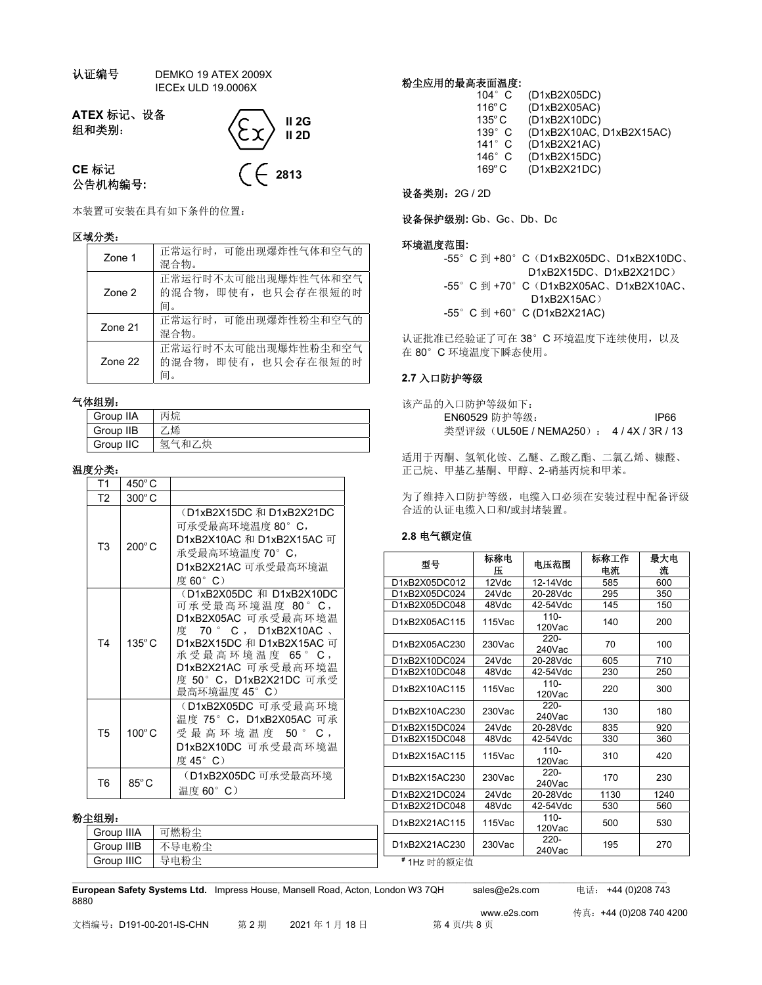认证编号 DEMKO 19 ATEX 2009X IECEx ULD 19.0006X

**ATEX** 标记、设备 组和类别:



**CE** 标记 公告机构编号**:**

本装置可安装在具有如下条件的位置:

### 区域分类:

| Zone 1         | 正常运行时, 可能出现爆炸性气体和空气的<br>混合物。                      |
|----------------|---------------------------------------------------|
| Zone 2         | 正常运行时不太可能出现爆炸性气体和空气<br>的混合物, 即使有, 也只会存在很短的时<br>间。 |
| <b>Zone 21</b> | 正常运行时,可能出现爆炸性粉尘和空气的<br>混合物。                       |
| $7$ one $22$   | 正常运行时不太可能出现爆炸性粉尘和空气<br>的混合物, 即使有, 也只会存在很短的时<br>间。 |

### 气体组别:

| .         |       |
|-----------|-------|
| Group IIA | 丙烷    |
| Group IIB | 烯     |
| Group IIC | 氢气和乙炔 |

### 温度分类:

| T1             | $450^{\circ}$ C |                                                                                                                                                                                                                               |
|----------------|-----------------|-------------------------------------------------------------------------------------------------------------------------------------------------------------------------------------------------------------------------------|
| T <sub>2</sub> | $300^{\circ}$ C |                                                                                                                                                                                                                               |
| T <sub>3</sub> | $200^\circ C$   | (D1xB2X15DC 和 D1xB2X21DC<br>可承受最高环境温度 80°C,<br>D1xB2X10AC 和 D1xB2X15AC 可<br>承受最高环境温度 70° C,<br>D1xB2X21AC 可承受最高环境温<br>度 60°C)                                                                                                 |
| T <sub>4</sub> | $135^{\circ}$ C | (D1xB2X05DC 和 D1xB2X10DC<br>可 承 受 最 高 环 境 温 度 80 °C,<br>D1xB2X05AC 可承受最高环境温<br>度 70 ° C , D1xB2X10AC 、<br>D1xB2X15DC 和 D1xB2X15AC 可<br>承 受 最 高 环 境 温 度 65 °C,<br>D1xB2X21AC 可承受最高环境温<br>度 50°C,D1xB2X21DC 可承受<br>最高环境温度 45°C) |
| T <sub>5</sub> | 100°C           | (D1xB2X05DC 可承受最高环境<br>温度 75° C, D1xB2X05AC 可承<br>受 最 高 环 境 温 度  50 ° C ,<br>D1xB2X10DC 可承受最高环境温<br>度 45° C)                                                                                                                  |
| T6             | $85^{\circ}$ C  | (D1xB2X05DC 可承受最高环境<br>温度 60°C)                                                                                                                                                                                               |

## 粉尘组别:

| 399.苏小     |       | D1xB2X21AC115 | $115$ Vac | -טוי   | 500 | 530 |
|------------|-------|---------------|-----------|--------|-----|-----|
| Group IIIA | 可燃粉尘  |               |           | 120Vac |     |     |
|            |       |               |           | 220-   |     |     |
| Group IIIB | 不导电粉尘 | D1xB2X21AC230 | $230$ Vac | 240Vac | 195 | 270 |
| Group IIIC | 导电粉尘  | #1Hz 时的额定值    |           |        |     |     |

 $\mathcal{L} = \{ \mathcal{L} = \{ \mathcal{L} = \{ \mathcal{L} = \{ \mathcal{L} = \{ \mathcal{L} = \{ \mathcal{L} = \{ \mathcal{L} = \{ \mathcal{L} = \{ \mathcal{L} = \{ \mathcal{L} = \{ \mathcal{L} = \{ \mathcal{L} = \{ \mathcal{L} = \{ \mathcal{L} = \{ \mathcal{L} = \{ \mathcal{L} = \{ \mathcal{L} = \{ \mathcal{L} = \{ \mathcal{L} = \{ \mathcal{L} = \{ \mathcal{L} = \{ \mathcal{L} = \{ \mathcal{L} = \{ \mathcal{$ 

粉尘应用的最高表面温度**:** 

| $104^\circ$ C    | (D1xB2X05DC)             |
|------------------|--------------------------|
| $116^{\circ}$ C  | (D1xB2X05AC)             |
| 135° C           | (D1xB2X10DC)             |
| $139^\circ$ C    | (D1xB2X10AC, D1xB2X15AC) |
| $141^\circ$ C    | (D1xB2X21AC)             |
| 146 $^{\circ}$ C | (D1xB2X15DC)             |
| $169^{\circ}$ C  | (D1xB2X21DC)             |
|                  |                          |

设备类别:2G / 2D

设备保护级别**:** Gb、Gc、Db、Dc

### 环境温度范围**:**

-55° C 到 +80° C (D1xB2X05DC、D1xB2X10DC、 D1xB2X15DC、D1xB2X21DC) -55° C 到 +70° C (D1xB2X05AC、D1xB2X10AC、 D1xB2X15AC) -55° C 到 +60° C (D1xB2X21AC)

认证批准已经验证了可在 38°C 环境温度下连续使用, 以及 在 80°C 环境温度下瞬态使用。

## **2.7** 入口防护等级

| 该产品的入口防护等级如下:                      |      |
|------------------------------------|------|
| EN60529 防护等级:                      | IP66 |
| 类型评级 (UL50E / NEMA250): 4/4X/3R/13 |      |

适用于丙酮、氢氧化铵、乙醚、乙酸乙酯、二氯乙烯、糠醛、 正己烷、甲基乙基酮、甲醇、2-硝基丙烷和甲苯。

为了维持入口防护等级,电缆入口必须在安装过程中配备评级 合适的认证电缆入口和/或封堵装置。

## **2.8** 电气额定值

| 型号            | 标称电<br>Æ  | 电压范围                 | 标称工作<br>电流 | 最大电<br>流 |
|---------------|-----------|----------------------|------------|----------|
| D1xB2X05DC012 | 12Vdc     | 12-14Vdc             | 585        | 600      |
| D1xB2X05DC024 | 24Vdc     | 20-28Vdc             | 295        | 350      |
| D1xB2X05DC048 | 48Vdc     | 42-54Vdc             | 145        | 150      |
| D1xB2X05AC115 | $115$ Vac | $110 -$<br>120Vac    | 140        | 200      |
| D1xB2X05AC230 | $230$ Vac | $220 -$<br>$240$ Vac | 70         | 100      |
| D1xB2X10DC024 | 24Vdc     | 20-28Vdc             | 605        | 710      |
| D1xB2X10DC048 | 48Vdc     | 42-54Vdc             | 230        | 250      |
| D1xB2X10AC115 | $115$ Vac | $110 -$<br>120Vac    | 220        | 300      |
| D1xB2X10AC230 | $230$ Vac | $220 -$<br>240Vac    | 130        | 180      |
| D1xB2X15DC024 | 24Vdc     | 20-28Vdc             | 835        | 920      |
| D1xB2X15DC048 | 48Vdc     | 42-54Vdc             | 330        | 360      |
| D1xB2X15AC115 | $115$ Vac | $110 -$<br>$120$ Vac | 310        | 420      |
| D1xB2X15AC230 | $230$ Vac | $220 -$<br>240Vac    | 170        | 230      |
| D1xB2X21DC024 | 24Vdc     | 20-28Vdc             | 1130       | 1240     |
| D1xB2X21DC048 | 48Vdc     | 42-54Vdc             | 530        | 560      |
| D1xB2X21AC115 | $115$ Vac | $110 -$<br>$120$ Vac | 500        | 530      |
| D1xB2X21AC230 | 230Vac    | $220 -$<br>$240$ Vac | 195        | 270      |
| #1Hz 时的额定值    |           |                      |            |          |

**European Safety Systems Ltd.** Impress House, Mansell Road, Acton, London W3 7QH sales@e2s.com 电话: +44 (0)208 743 8880

www.e2s.com 传真:+44 (0)208 740 4200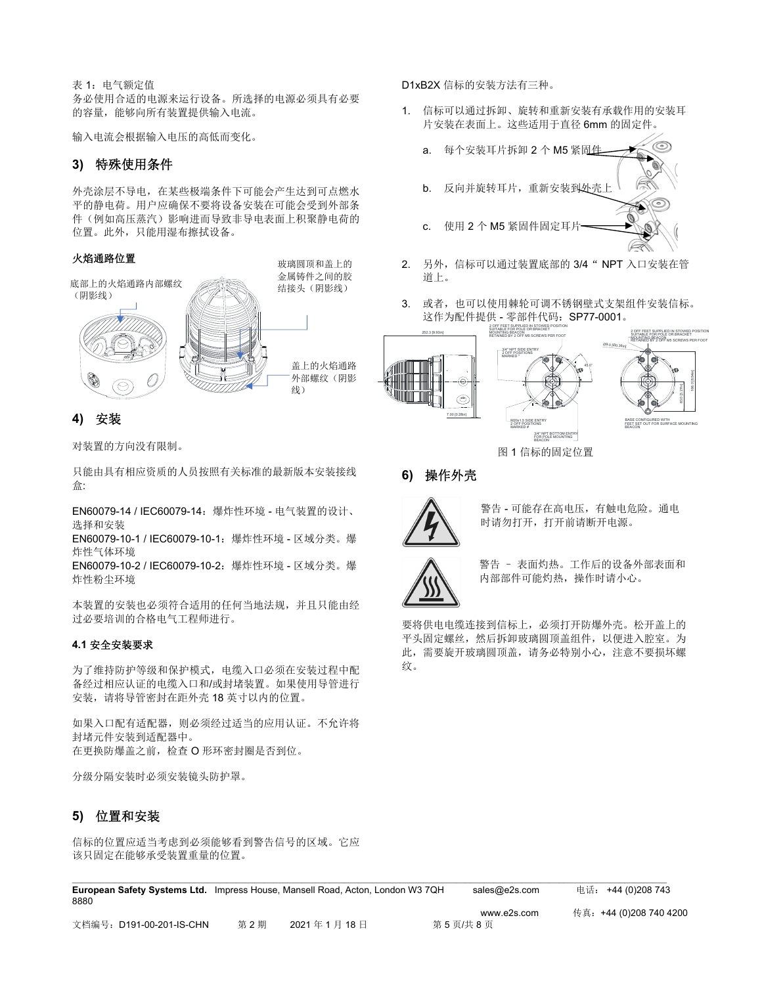表 1: 电气额定值 务必使用合适的电源来运行设备。所选择的电源必须具有必要 的容量,能够向所有装置提供输入电流。

输入电流会根据输入电压的高低而变化。

# **3)** 特殊使用条件

外壳涂层不导电,在某些极端条件下可能会产生达到可点燃水 平的静电荷。用户应确保不要将设备安装在可能会受到外部条 件(例如高压蒸汽)影响进而导致非导电表面上积聚静电荷的 位置。此外,只能用湿布擦拭设备。

### 火焰通路位置



**4)** 安装

对装置的方向没有限制。

只能由具有相应资质的人员按照有关标准的最新版本安装接线 盒:

EN60079-14 / IEC60079-14:爆炸性环境 - 电气装置的设计、 选择和安装

EN60079-10-1 / IEC60079-10-1:爆炸性环境 - 区域分类。爆 炸性气体环境

EN60079-10-2 / IEC60079-10-2:爆炸性环境 - 区域分类。爆 炸性粉尘环境

本装置的安装也必须符合适用的任何当地法规,并且只能由经 过必要培训的合格电气工程师进行。

## **4.1** 安全安装要求

为了维持防护等级和保护模式,电缆入口必须在安装过程中配 备经过相应认证的电缆入口和/或封堵装置。如果使用导管进行 安装,请将导管密封在距外壳 18 英寸以内的位置。

如果入口配有适配器,则必须经过适当的应用认证。不允许将 封堵元件安装到适配器中。 在更换防爆盖之前,检查 O 形环密封圈是否到位。

分级分隔安装时必须安装镜头防护罩。

## **5)** 位置和安装

信标的位置应适当考虑到必须能够看到警告信号的区域。它应 该只固定在能够承受装置重量的位置。

D1xB2X 信标的安装方法有三种。

1. 信标可以通过拆卸、旋转和重新安装有承载作用的安装耳 片安装在表面上。这些适用于直径 6mm 的固定件。



- 2. 另外,信标可以通过装置底部的 3/4" NPT 入口安装在管 道上。
- 3. 或者,也可以使用棘轮可调不锈钢壁式支架组件安装信标。 这作为配件提供 - 零部件代码: SP77-0001。



图 1 信标的固定位置

## **6)** 操作外壳



警告 - 可能存在高电压,有触电危险。通电 时请勿打开,打开前请断开电源。



警告 – 表面灼热。工作后的设备外部表面和 内部部件可能灼热,操作时请小心。

要将供电电缆连接到信标上,必须打开防爆外壳。松开盖上的 平头固定螺丝,然后拆卸玻璃圆顶盖组件,以便进入腔室。为 此,需要旋开玻璃圆顶盖,请务必特别小心,注意不要损坏螺 纹。

|      | European Safety Systems Ltd. Impress House, Mansell Road, Acton, London W3 7QH | sales@e2s.com | 电话:+44 (0)208 743      |
|------|--------------------------------------------------------------------------------|---------------|------------------------|
| 8880 |                                                                                |               |                        |
|      |                                                                                | www.e2s.com   | 传真:+44 (0)208 740 4200 |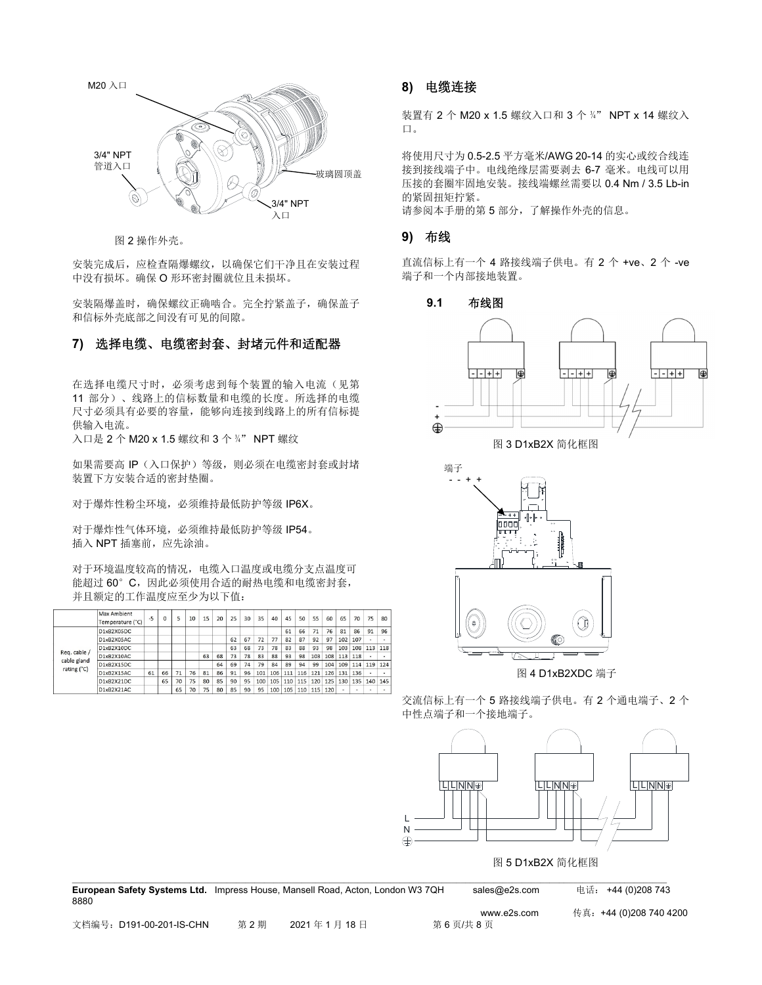

图 2 操作外壳。

安装完成后,应检查隔爆螺纹,以确保它们干净且在安装过程 中没有损坏。确保 O 形环密封圈就位且未损坏。

安装隔爆盖时,确保螺纹正确啮合。完全拧紧盖子,确保盖子 和信标外壳底部之间没有可见的间隙。

# **7)** 选择电缆、电缆密封套、封堵元件和适配器

在选择电缆尺寸时,必须考虑到每个装置的输入电流(见第 11 部分)、线路上的信标数量和电缆的长度。所选择的电缆 尺寸必须具有必要的容量,能够向连接到线路上的所有信标提 供输入电流。

入口是 2 个 M20 x 1.5 螺纹和 3 个 ¾" NPT 螺纹

如果需要高 IP(入口保护)等级,则必须在电缆密封套或封堵 装置下方安装合适的密封垫圈。

对于爆炸性粉尘环境,必须维持最低防护等级 IP6X。

对于爆炸性气体环境,必须维持最低防护等级 IP54。 插入 NPT 插塞前, 应先涂油。

对于环境温度较高的情况,电缆入口温度或电缆分支点温度可 能超过 60°C,因此必须使用合适的耐热电缆和电缆密封套, 并且额定的工作温度应至少为以下值:

|  |                                            | Max Ambient<br>Temperature (°C) | $-5$ | O  | 5  | 10 | 15 | 20              | 25 | 30       | 35       | 40  | 45                  | 50  | 55  | 60  | 65  | 70  | 75  | 80  |
|--|--------------------------------------------|---------------------------------|------|----|----|----|----|-----------------|----|----------|----------|-----|---------------------|-----|-----|-----|-----|-----|-----|-----|
|  |                                            | D1xB2X05DC                      |      |    |    |    |    |                 |    |          |          |     | 61                  | 66  | 71  | 76  | 81  | 86  | 91  | 96  |
|  |                                            | D1xB2X05AC                      |      |    |    |    |    |                 | 62 | 67       | 72       | 77  | 82                  | 87  | 92  | 97  | 102 | 107 |     |     |
|  | Req. cable /<br>cable gland<br>rating (°C) | D1xB2X10DC                      |      |    |    |    |    |                 | 63 | 68       | 73       | 78  | 83                  | 88  | 93  | 98  | 103 | 108 | 113 | 118 |
|  |                                            | D1xB2X10AC                      |      |    |    |    | 63 | 68              | 73 | 78       | 83       | 88  | 93                  | 98  | 103 | 108 | 113 | 118 |     |     |
|  |                                            | D1xB2X15DC                      |      |    |    |    |    | 64              | 69 | 74       | 79       | 84  | 89                  | 94  | 99  | 104 | 109 | 114 | 119 | 124 |
|  |                                            | D1xB2X15AC                      | 61   | 66 | 71 | 76 | 81 | 86              | 91 | 96       | 101      | 106 | 111                 | 116 | 121 | 126 | 131 | 136 |     |     |
|  |                                            | D1xB2X21DC                      |      | 65 | 70 | 75 | 80 | 85              | 90 | 95       | 100      | 105 | 110                 | 115 | 120 | 125 | 130 | 135 | 140 | 145 |
|  |                                            | D1vR2Y21AC                      |      |    | 65 | 70 | 75 | 90 <sub>0</sub> | QE | $\alpha$ | $\Omega$ |     | 100 105 110 115 120 |     |     |     |     | -   |     |     |

## **8)** 电缆连接

装置有 2 个 M20 x 1.5 螺纹入口和 3 个 ¾" NPT x 14 螺纹入 口。

将使用尺寸为 0.5-2.5 平方毫米/AWG 20-14 的实心或绞合线连 接到接线端子中。电线绝缘层需要剥去 6-7 毫米。电线可以用 压接的套圈牢固地安装。接线端螺丝需要以 0.4 Nm / 3.5 Lb-in 的紧固扭矩拧紧。

请参阅本手册的第 5 部分,了解操作外壳的信息。

### **9)** 布线

直流信标上有一个 4 路接线端子供电。有 2 个 +ve、2 个 -ve 端子和一个内部接地装置。





图 4 D1xB2XDC 端子

交流信标上有一个 5 路接线端子供电。有 2 个通电端子、2 个 中性点端子和一个接地端子。



| <b>European Safety Systems Ltd.</b> Impress House, Mansell Road, Acton, London W3 7QH<br>8880 |     |            | sales@e2s.com | 电话: +44 (0)208 743      |
|-----------------------------------------------------------------------------------------------|-----|------------|---------------|-------------------------|
|                                                                                               |     |            | www.e2s.com   | 传真: +44 (0)208 740 4200 |
| 文档编号:D191-00-201-IS-CHN                                                                       | 第2期 | 2021年1月18日 | 第6页/共8页       |                         |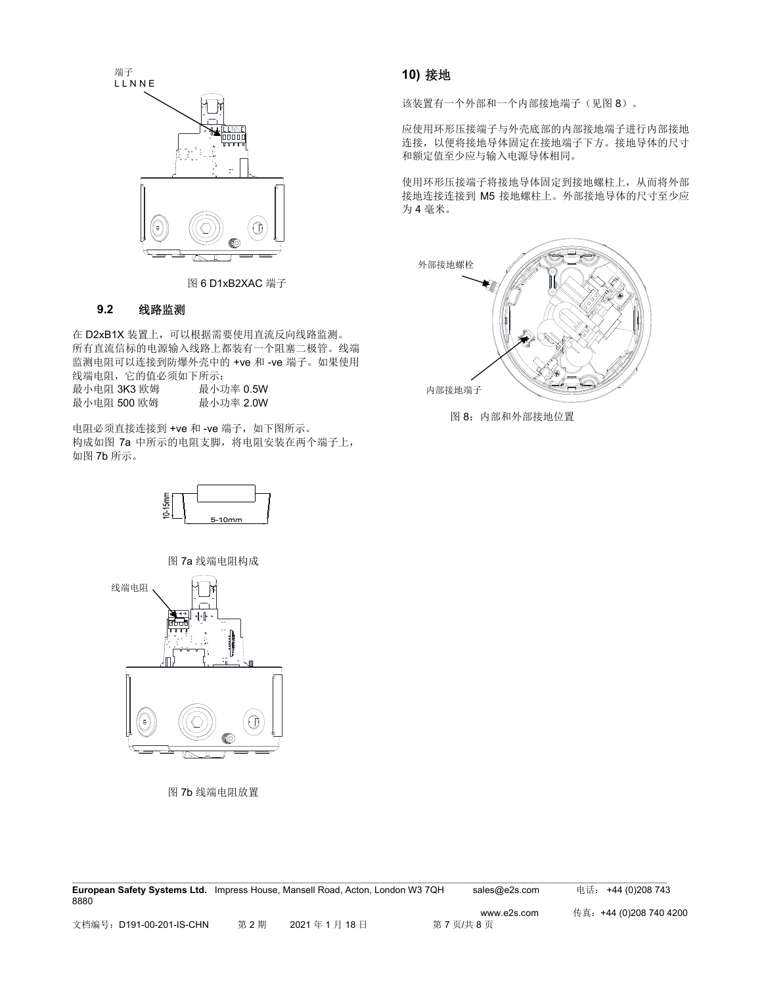

图 6 D1xB2XAC 端子

## **9.2** 线路监测

在 D2xB1X 装置上,可以根据需要使用直流反向线路监测。 所有直流信标的电源输入线路上都装有一个阻塞二极管。线端 监测电阻可以连接到防爆外壳中的 +ve 和 -ve 端子。如果使用 线端电阻,它的值必须如下所示: 最小电阻 3K3 欧姆 最小功率 0.5W

| 最小电阻 500 欧姆 | 最小功率 2.0W |
|-------------|-----------|
|             |           |

电阻必须直接连接到 +ve 和 -ve 端子, 如下图所示。 构成如图 7a 中所示的电阻支脚,将电阻安装在两个端子上, 如图 7b 所示。



图 7a 线端电阻构成



图 7b 线端电阻放置

## **10)** 接地

该装置有一个外部和一个内部接地端子(见图 8)。

应使用环形压接端子与外壳底部的内部接地端子进行内部接地 连接,以便将接地导体固定在接地端子下方。接地导体的尺寸 和额定值至少应与输入电源导体相同。

使用环形压接端子将接地导体固定到接地螺柱上,从而将外部 接地连接连接到 M5 接地螺柱上。外部接地导体的尺寸至少应 为 4 毫米。



图 8:内部和外部接地位置

| <b>European Safety Systems Ltd.</b> Impress House, Mansell Road, Acton, London W3 7QH |     |            | sales@e2s.com | 电话: +44 (0)208 743      |
|---------------------------------------------------------------------------------------|-----|------------|---------------|-------------------------|
| 8880                                                                                  |     |            |               |                         |
|                                                                                       |     |            | www.e2s.com   | 传真: +44 (0)208 740 4200 |
| 文档编号: D191-00-201-IS-CHN                                                              | 第2期 | 2021年1月18日 | 第7页/共8页       |                         |

 $\mathcal{L} = \{ \mathcal{L} = \{ \mathcal{L} = \{ \mathcal{L} = \{ \mathcal{L} = \{ \mathcal{L} = \{ \mathcal{L} = \{ \mathcal{L} = \{ \mathcal{L} = \{ \mathcal{L} = \{ \mathcal{L} = \{ \mathcal{L} = \{ \mathcal{L} = \{ \mathcal{L} = \{ \mathcal{L} = \{ \mathcal{L} = \{ \mathcal{L} = \{ \mathcal{L} = \{ \mathcal{L} = \{ \mathcal{L} = \{ \mathcal{L} = \{ \mathcal{L} = \{ \mathcal{L} = \{ \mathcal{L} = \{ \mathcal{$